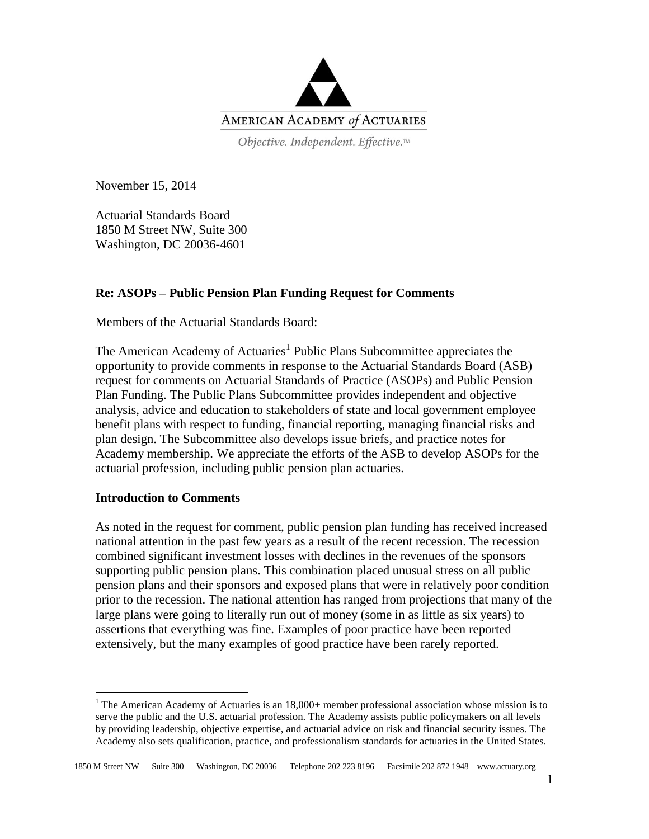

Objective. Independent. Effective.™

November 15, 2014

Actuarial Standards Board 1850 M Street NW, Suite 300 Washington, DC 20036-4601

## **Re: ASOPs – Public Pension Plan Funding Request for Comments**

Members of the Actuarial Standards Board:

The American Academy of Actuaries<sup>1</sup> Public Plans Subcommittee appreciates the opportunity to provide comments in response to the Actuarial Standards Board (ASB) request for comments on Actuarial Standards of Practice (ASOPs) and Public Pension Plan Funding. The Public Plans Subcommittee provides independent and objective analysis, advice and education to stakeholders of state and local government employee benefit plans with respect to funding, financial reporting, managing financial risks and plan design. The Subcommittee also develops issue briefs, and practice notes for Academy membership. We appreciate the efforts of the ASB to develop ASOPs for the actuarial profession, including public pension plan actuaries.

## **Introduction to Comments**

 $\overline{a}$ 

As noted in the request for comment, public pension plan funding has received increased national attention in the past few years as a result of the recent recession. The recession combined significant investment losses with declines in the revenues of the sponsors supporting public pension plans. This combination placed unusual stress on all public pension plans and their sponsors and exposed plans that were in relatively poor condition prior to the recession. The national attention has ranged from projections that many of the large plans were going to literally run out of money (some in as little as six years) to assertions that everything was fine. Examples of poor practice have been reported extensively, but the many examples of good practice have been rarely reported.

<sup>&</sup>lt;sup>1</sup> The American Academy of Actuaries is an  $18,000+$  member professional association whose mission is to serve the public and the U.S. actuarial profession. The Academy assists public policymakers on all levels by providing leadership, objective expertise, and actuarial advice on risk and financial security issues. The Academy also sets qualification, practice, and professionalism standards for actuaries in the United States.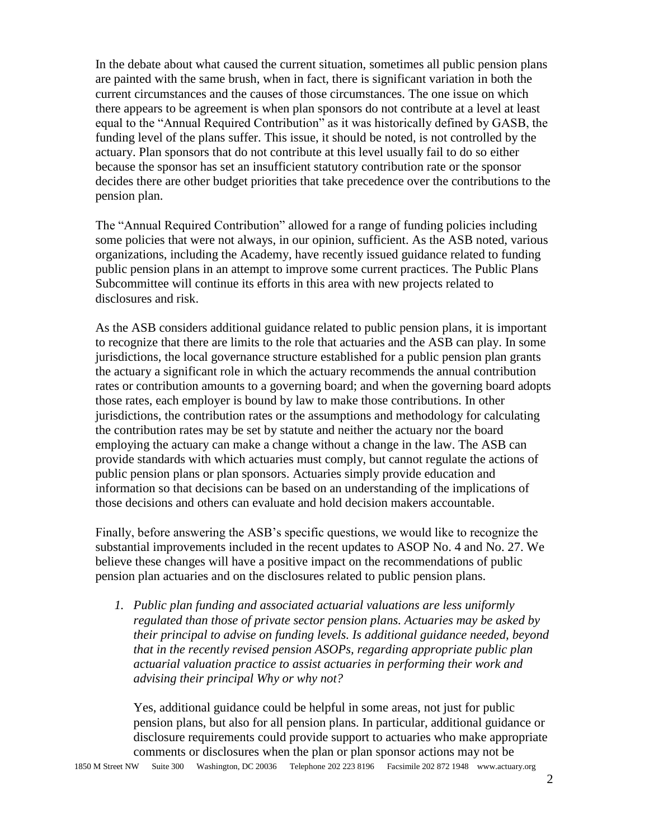In the debate about what caused the current situation, sometimes all public pension plans are painted with the same brush, when in fact, there is significant variation in both the current circumstances and the causes of those circumstances. The one issue on which there appears to be agreement is when plan sponsors do not contribute at a level at least equal to the "Annual Required Contribution" as it was historically defined by GASB, the funding level of the plans suffer. This issue, it should be noted, is not controlled by the actuary. Plan sponsors that do not contribute at this level usually fail to do so either because the sponsor has set an insufficient statutory contribution rate or the sponsor decides there are other budget priorities that take precedence over the contributions to the pension plan.

The "Annual Required Contribution" allowed for a range of funding policies including some policies that were not always, in our opinion, sufficient. As the ASB noted, various organizations, including the Academy, have recently issued guidance related to funding public pension plans in an attempt to improve some current practices. The Public Plans Subcommittee will continue its efforts in this area with new projects related to disclosures and risk.

As the ASB considers additional guidance related to public pension plans, it is important to recognize that there are limits to the role that actuaries and the ASB can play. In some jurisdictions, the local governance structure established for a public pension plan grants the actuary a significant role in which the actuary recommends the annual contribution rates or contribution amounts to a governing board; and when the governing board adopts those rates, each employer is bound by law to make those contributions. In other jurisdictions, the contribution rates or the assumptions and methodology for calculating the contribution rates may be set by statute and neither the actuary nor the board employing the actuary can make a change without a change in the law. The ASB can provide standards with which actuaries must comply, but cannot regulate the actions of public pension plans or plan sponsors. Actuaries simply provide education and information so that decisions can be based on an understanding of the implications of those decisions and others can evaluate and hold decision makers accountable.

Finally, before answering the ASB's specific questions, we would like to recognize the substantial improvements included in the recent updates to ASOP No. 4 and No. 27. We believe these changes will have a positive impact on the recommendations of public pension plan actuaries and on the disclosures related to public pension plans.

*1. Public plan funding and associated actuarial valuations are less uniformly regulated than those of private sector pension plans. Actuaries may be asked by their principal to advise on funding levels. Is additional guidance needed, beyond that in the recently revised pension ASOPs, regarding appropriate public plan actuarial valuation practice to assist actuaries in performing their work and advising their principal Why or why not?*

Yes, additional guidance could be helpful in some areas, not just for public pension plans, but also for all pension plans. In particular, additional guidance or disclosure requirements could provide support to actuaries who make appropriate comments or disclosures when the plan or plan sponsor actions may not be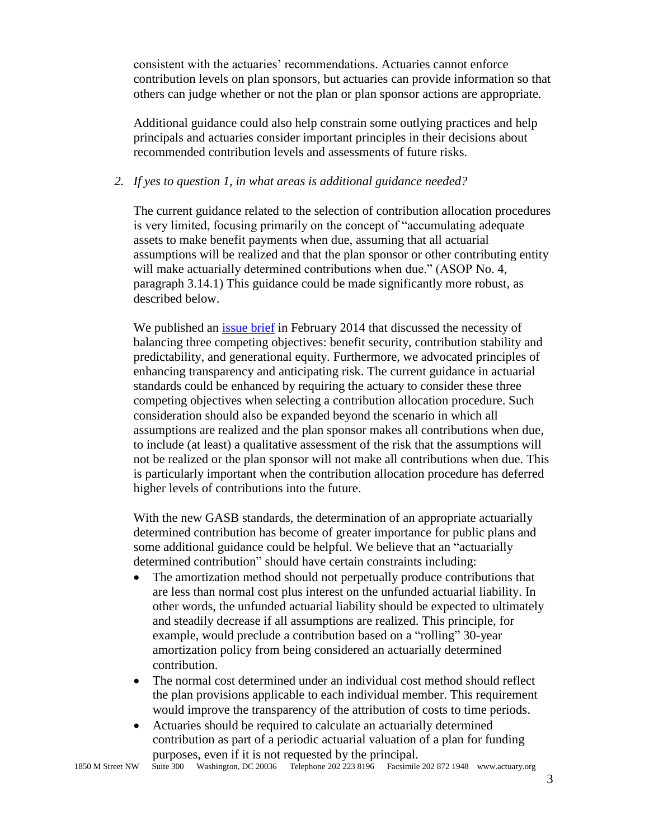consistent with the actuaries' recommendations. Actuaries cannot enforce contribution levels on plan sponsors, but actuaries can provide information so that others can judge whether or not the plan or plan sponsor actions are appropriate.

Additional guidance could also help constrain some outlying practices and help principals and actuaries consider important principles in their decisions about recommended contribution levels and assessments of future risks.

## *2. If yes to question 1, in what areas is additional guidance needed?*

The current guidance related to the selection of contribution allocation procedures is very limited, focusing primarily on the concept of "accumulating adequate assets to make benefit payments when due, assuming that all actuarial assumptions will be realized and that the plan sponsor or other contributing entity will make actuarially determined contributions when due." (ASOP No. 4, paragraph 3.14.1) This guidance could be made significantly more robust, as described below.

We published an [issue brief](http://www.actuary.org/files/Public-Plans_IB-Funding-Policy_02-18-2014.pdf) in February 2014 that discussed the necessity of balancing three competing objectives: benefit security, contribution stability and predictability, and generational equity. Furthermore, we advocated principles of enhancing transparency and anticipating risk. The current guidance in actuarial standards could be enhanced by requiring the actuary to consider these three competing objectives when selecting a contribution allocation procedure. Such consideration should also be expanded beyond the scenario in which all assumptions are realized and the plan sponsor makes all contributions when due, to include (at least) a qualitative assessment of the risk that the assumptions will not be realized or the plan sponsor will not make all contributions when due. This is particularly important when the contribution allocation procedure has deferred higher levels of contributions into the future.

With the new GASB standards, the determination of an appropriate actuarially determined contribution has become of greater importance for public plans and some additional guidance could be helpful. We believe that an "actuarially determined contribution" should have certain constraints including:

- The amortization method should not perpetually produce contributions that are less than normal cost plus interest on the unfunded actuarial liability. In other words, the unfunded actuarial liability should be expected to ultimately and steadily decrease if all assumptions are realized. This principle, for example, would preclude a contribution based on a "rolling" 30-year amortization policy from being considered an actuarially determined contribution.
- The normal cost determined under an individual cost method should reflect the plan provisions applicable to each individual member. This requirement would improve the transparency of the attribution of costs to time periods.
- Actuaries should be required to calculate an actuarially determined contribution as part of a periodic actuarial valuation of a plan for funding purposes, even if it is not requested by the principal.

1850 M Street NW Suite 300 Washington, DC 20036 Telephone 202 223 8196 Facsimile 202 872 1948 www.actuary.org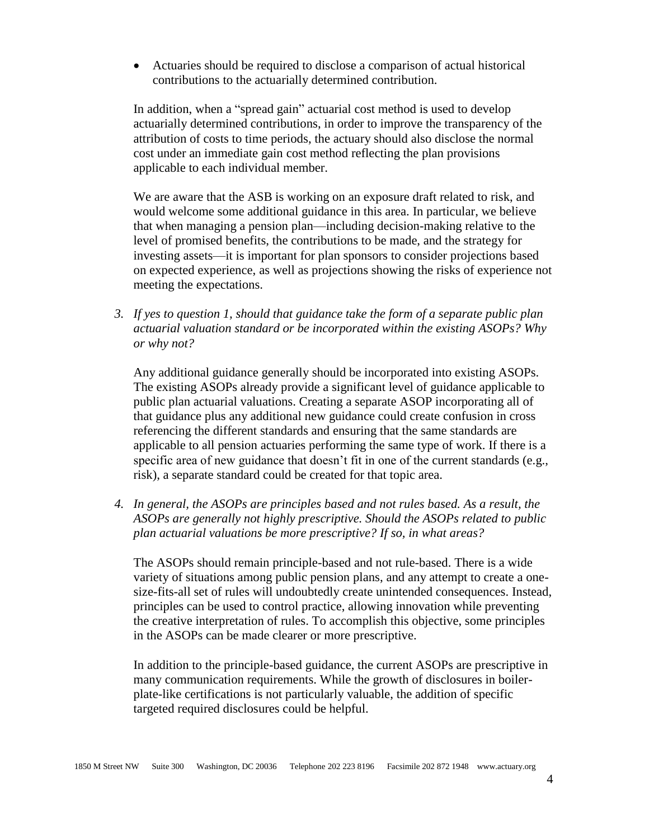Actuaries should be required to disclose a comparison of actual historical contributions to the actuarially determined contribution.

In addition, when a "spread gain" actuarial cost method is used to develop actuarially determined contributions, in order to improve the transparency of the attribution of costs to time periods, the actuary should also disclose the normal cost under an immediate gain cost method reflecting the plan provisions applicable to each individual member.

We are aware that the ASB is working on an exposure draft related to risk, and would welcome some additional guidance in this area. In particular, we believe that when managing a pension plan—including decision-making relative to the level of promised benefits, the contributions to be made, and the strategy for investing assets—it is important for plan sponsors to consider projections based on expected experience, as well as projections showing the risks of experience not meeting the expectations.

*3. If yes to question 1, should that guidance take the form of a separate public plan actuarial valuation standard or be incorporated within the existing ASOPs? Why or why not?*

Any additional guidance generally should be incorporated into existing ASOPs. The existing ASOPs already provide a significant level of guidance applicable to public plan actuarial valuations. Creating a separate ASOP incorporating all of that guidance plus any additional new guidance could create confusion in cross referencing the different standards and ensuring that the same standards are applicable to all pension actuaries performing the same type of work. If there is a specific area of new guidance that doesn't fit in one of the current standards (e.g., risk), a separate standard could be created for that topic area.

*4. In general, the ASOPs are principles based and not rules based. As a result, the ASOPs are generally not highly prescriptive. Should the ASOPs related to public plan actuarial valuations be more prescriptive? If so, in what areas?*

The ASOPs should remain principle-based and not rule-based. There is a wide variety of situations among public pension plans, and any attempt to create a onesize-fits-all set of rules will undoubtedly create unintended consequences. Instead, principles can be used to control practice, allowing innovation while preventing the creative interpretation of rules. To accomplish this objective, some principles in the ASOPs can be made clearer or more prescriptive.

In addition to the principle-based guidance, the current ASOPs are prescriptive in many communication requirements. While the growth of disclosures in boilerplate-like certifications is not particularly valuable, the addition of specific targeted required disclosures could be helpful.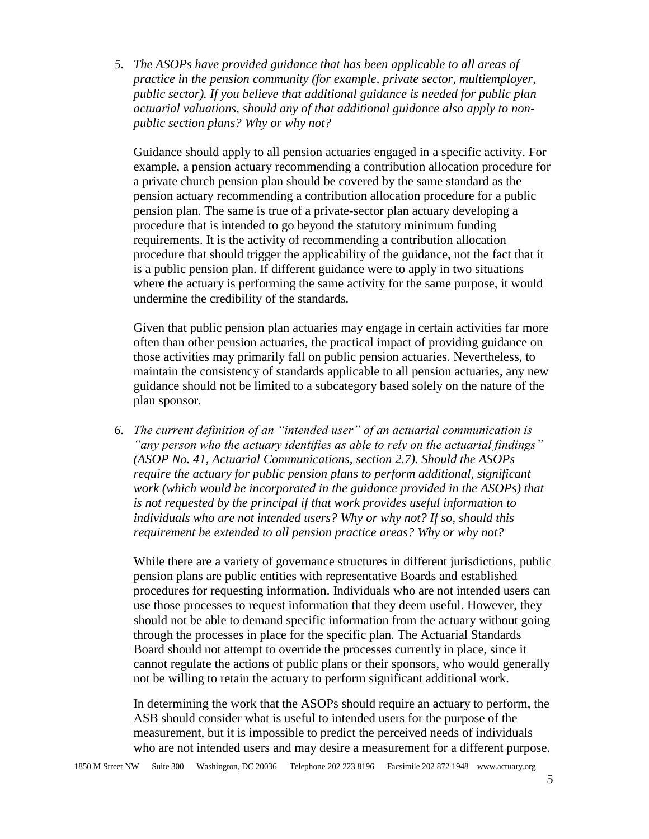*5. The ASOPs have provided guidance that has been applicable to all areas of practice in the pension community (for example, private sector, multiemployer, public sector). If you believe that additional guidance is needed for public plan actuarial valuations, should any of that additional guidance also apply to nonpublic section plans? Why or why not?*

Guidance should apply to all pension actuaries engaged in a specific activity. For example, a pension actuary recommending a contribution allocation procedure for a private church pension plan should be covered by the same standard as the pension actuary recommending a contribution allocation procedure for a public pension plan. The same is true of a private-sector plan actuary developing a procedure that is intended to go beyond the statutory minimum funding requirements. It is the activity of recommending a contribution allocation procedure that should trigger the applicability of the guidance, not the fact that it is a public pension plan. If different guidance were to apply in two situations where the actuary is performing the same activity for the same purpose, it would undermine the credibility of the standards.

Given that public pension plan actuaries may engage in certain activities far more often than other pension actuaries, the practical impact of providing guidance on those activities may primarily fall on public pension actuaries. Nevertheless, to maintain the consistency of standards applicable to all pension actuaries, any new guidance should not be limited to a subcategory based solely on the nature of the plan sponsor.

*6. The current definition of an "intended user" of an actuarial communication is "any person who the actuary identifies as able to rely on the actuarial findings" (ASOP No. 41, Actuarial Communications, section 2.7). Should the ASOPs require the actuary for public pension plans to perform additional, significant work (which would be incorporated in the guidance provided in the ASOPs) that is not requested by the principal if that work provides useful information to individuals who are not intended users? Why or why not? If so, should this requirement be extended to all pension practice areas? Why or why not?*

While there are a variety of governance structures in different jurisdictions, public pension plans are public entities with representative Boards and established procedures for requesting information. Individuals who are not intended users can use those processes to request information that they deem useful. However, they should not be able to demand specific information from the actuary without going through the processes in place for the specific plan. The Actuarial Standards Board should not attempt to override the processes currently in place, since it cannot regulate the actions of public plans or their sponsors, who would generally not be willing to retain the actuary to perform significant additional work.

In determining the work that the ASOPs should require an actuary to perform, the ASB should consider what is useful to intended users for the purpose of the measurement, but it is impossible to predict the perceived needs of individuals who are not intended users and may desire a measurement for a different purpose.